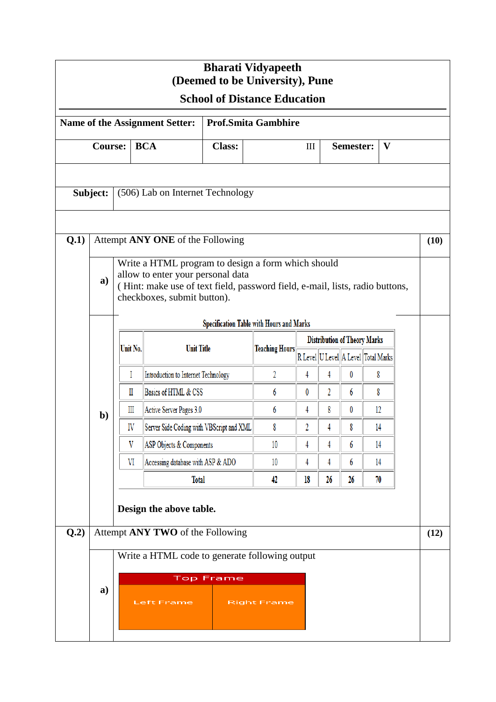|      |                               |                                                | (Deemed to be University), Pune                                                                                                                                                                        | <b>Bharati Vidyapeeth</b>                       |                       |                                     |    |                                     |  |      |
|------|-------------------------------|------------------------------------------------|--------------------------------------------------------------------------------------------------------------------------------------------------------------------------------------------------------|-------------------------------------------------|-----------------------|-------------------------------------|----|-------------------------------------|--|------|
|      |                               |                                                | <b>School of Distance Education</b>                                                                                                                                                                    |                                                 |                       |                                     |    |                                     |  |      |
|      |                               |                                                | <b>Name of the Assignment Setter:</b>                                                                                                                                                                  | <b>Prof.Smita Gambhire</b>                      |                       |                                     |    |                                     |  |      |
|      | <b>BCA</b><br><b>Course:</b>  |                                                |                                                                                                                                                                                                        |                                                 | Semester:<br>V<br>III |                                     |    |                                     |  |      |
|      |                               |                                                |                                                                                                                                                                                                        |                                                 |                       |                                     |    |                                     |  |      |
|      | Subject:                      |                                                | (506) Lab on Internet Technology                                                                                                                                                                       |                                                 |                       |                                     |    |                                     |  |      |
|      |                               |                                                |                                                                                                                                                                                                        |                                                 |                       |                                     |    |                                     |  |      |
| Q.1) |                               |                                                | Attempt ANY ONE of the Following                                                                                                                                                                       |                                                 |                       |                                     |    |                                     |  | (10) |
|      | $\mathbf{a}$                  |                                                | Write a HTML program to design a form which should<br>allow to enter your personal data<br>(Hint: make use of text field, password field, e-mail, lists, radio buttons,<br>checkboxes, submit button). |                                                 |                       |                                     |    |                                     |  |      |
|      |                               |                                                |                                                                                                                                                                                                        | <b>Specification Table with Hours and Marks</b> |                       |                                     |    |                                     |  |      |
|      | Unit No.<br><b>Unit Title</b> |                                                |                                                                                                                                                                                                        | <b>Teaching Hours</b>                           |                       | <b>Distribution of Theory Marks</b> |    |                                     |  |      |
|      |                               |                                                |                                                                                                                                                                                                        |                                                 |                       |                                     |    | R Level U Level A Level Total Marks |  |      |
|      |                               | I                                              | Introduction to Internet Technology                                                                                                                                                                    | 2                                               | 4                     | 4                                   | 0  | 8                                   |  |      |
|      |                               | Π                                              | Basics of HTML & CSS                                                                                                                                                                                   | 6                                               | 0                     | 2                                   | 6  | 8                                   |  |      |
|      | $\mathbf{b}$                  | Ш                                              | Active Server Pages 3.0                                                                                                                                                                                | 6                                               | 4                     | 8                                   | 0  | 12                                  |  |      |
|      |                               | IV                                             | Server Side Coding with VBScript and XML                                                                                                                                                               | 8                                               | 2                     | 4                                   | 8  | 14                                  |  |      |
|      |                               | V                                              | ASP Objects & Components                                                                                                                                                                               | 10 <sup>°</sup>                                 | 4                     | 4                                   | 6  | 14                                  |  |      |
|      |                               | VI                                             | Accessing database with ASP & ADO                                                                                                                                                                      | 10                                              | 4                     | 4                                   | 6  | 14                                  |  |      |
|      |                               |                                                | <b>Total</b>                                                                                                                                                                                           | 42                                              | 18                    | 26                                  | 26 | 70                                  |  |      |
|      |                               | Design the above table.                        |                                                                                                                                                                                                        |                                                 |                       |                                     |    |                                     |  |      |
| Q.2) |                               |                                                | Attempt ANY TWO of the Following                                                                                                                                                                       |                                                 |                       |                                     |    |                                     |  | (12) |
|      |                               | Write a HTML code to generate following output |                                                                                                                                                                                                        |                                                 |                       |                                     |    |                                     |  |      |
|      | a)                            | <b>Top Frame</b>                               |                                                                                                                                                                                                        |                                                 |                       |                                     |    |                                     |  |      |
|      |                               | <b>Left Frame</b><br><b>Right Frame</b>        |                                                                                                                                                                                                        |                                                 |                       |                                     |    |                                     |  |      |
|      |                               |                                                |                                                                                                                                                                                                        |                                                 |                       |                                     |    |                                     |  |      |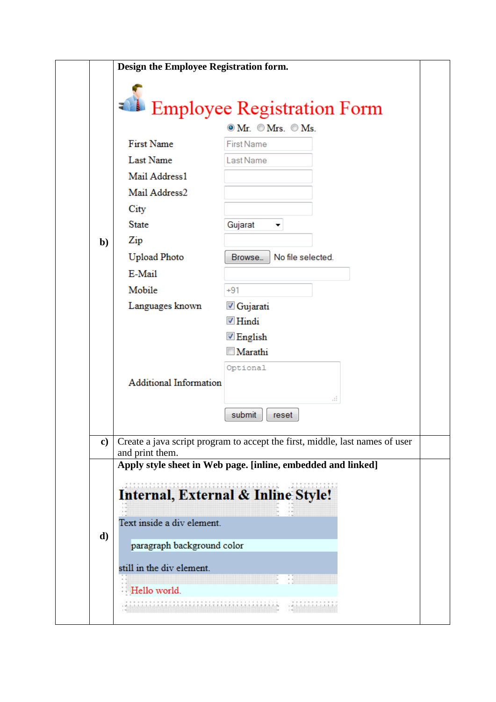|              |                               | <b>Employee Registration Form</b><br>$\circledcirc$ Mr. $\circledcirc$ Mrs. $\circledcirc$ Ms. |  |  |  |
|--------------|-------------------------------|------------------------------------------------------------------------------------------------|--|--|--|
|              | <b>First Name</b>             | <b>First Name</b>                                                                              |  |  |  |
|              | Last Name                     | Last Name                                                                                      |  |  |  |
|              | Mail Address1                 |                                                                                                |  |  |  |
|              | Mail Address2                 |                                                                                                |  |  |  |
|              | City                          |                                                                                                |  |  |  |
|              | <b>State</b>                  | Gujarat                                                                                        |  |  |  |
| $\mathbf{b}$ | Zip                           |                                                                                                |  |  |  |
|              | <b>Upload Photo</b>           | Browse<br>No file selected.                                                                    |  |  |  |
|              | E-Mail                        |                                                                                                |  |  |  |
|              | Mobile                        | $+91$                                                                                          |  |  |  |
|              | Languages known               | Gujarati                                                                                       |  |  |  |
|              |                               | <b>■</b> Hindi                                                                                 |  |  |  |
|              |                               | <b>▼</b> English                                                                               |  |  |  |
|              |                               | Marathi                                                                                        |  |  |  |
|              |                               | Optional                                                                                       |  |  |  |
|              | <b>Additional Information</b> |                                                                                                |  |  |  |
|              |                               | đ.                                                                                             |  |  |  |
|              |                               | submit<br>reset                                                                                |  |  |  |
| $\bf c)$     |                               | Create a java script program to accept the first, middle, last names of user                   |  |  |  |
|              | and print them.               | Apply style sheet in Web page. [inline, embedded and linked]                                   |  |  |  |
|              |                               | <b>Internal, External &amp; Inline Style!</b>                                                  |  |  |  |
|              | Text inside a div element.    |                                                                                                |  |  |  |
| $\mathbf{d}$ | paragraph background color    |                                                                                                |  |  |  |
|              | still in the div element.     |                                                                                                |  |  |  |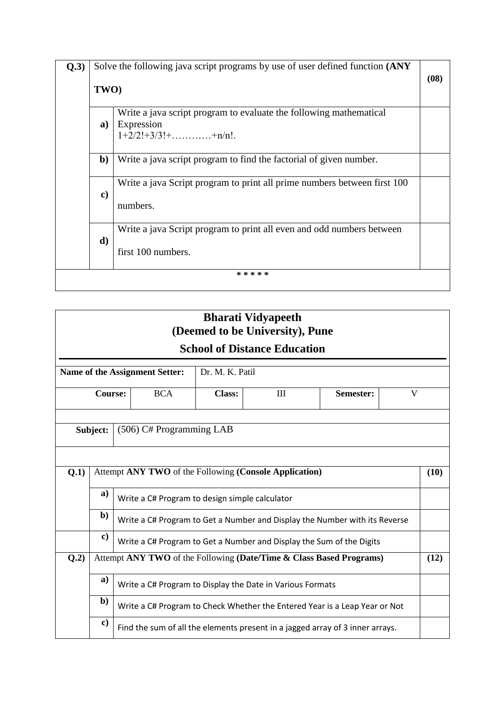| Q.3) |              | Solve the following java script programs by use of user defined function (ANY                                                 |  |  |  |  |  |
|------|--------------|-------------------------------------------------------------------------------------------------------------------------------|--|--|--|--|--|
|      | TWO)         |                                                                                                                               |  |  |  |  |  |
|      | a)           | Write a java script program to evaluate the following mathematical<br>Expression<br>$1+2/2!+3/3!+\ldots+\ldots+\frac{n}{n}$ . |  |  |  |  |  |
|      | $\mathbf{b}$ | Write a java script program to find the factorial of given number.                                                            |  |  |  |  |  |
|      | $\bf c)$     | Write a java Script program to print all prime numbers between first 100<br>numbers.                                          |  |  |  |  |  |
|      | d)           | Write a java Script program to print all even and odd numbers between<br>first 100 numbers.                                   |  |  |  |  |  |
|      |              | * * * * *                                                                                                                     |  |  |  |  |  |

| <b>Bharati Vidyapeeth</b><br>(Deemed to be University), Pune |                                                                             |                                                                               |                                                                            |               |   |                |  |  |  |
|--------------------------------------------------------------|-----------------------------------------------------------------------------|-------------------------------------------------------------------------------|----------------------------------------------------------------------------|---------------|---|----------------|--|--|--|
| <b>School of Distance Education</b>                          |                                                                             |                                                                               |                                                                            |               |   |                |  |  |  |
| Dr. M. K. Patil<br>Name of the Assignment Setter:            |                                                                             |                                                                               |                                                                            |               |   |                |  |  |  |
| <b>BCA</b><br><b>Course:</b>                                 |                                                                             |                                                                               |                                                                            | <b>Class:</b> | Ш | Semester:<br>V |  |  |  |
|                                                              |                                                                             |                                                                               |                                                                            |               |   |                |  |  |  |
|                                                              | Subject:                                                                    |                                                                               | $(506)$ C# Programming LAB                                                 |               |   |                |  |  |  |
|                                                              |                                                                             |                                                                               |                                                                            |               |   |                |  |  |  |
| Q.1)                                                         | Attempt ANY TWO of the Following (Console Application)<br>(10)              |                                                                               |                                                                            |               |   |                |  |  |  |
|                                                              | a)                                                                          |                                                                               | Write a C# Program to design simple calculator                             |               |   |                |  |  |  |
|                                                              | $\mathbf{b}$                                                                | Write a C# Program to Get a Number and Display the Number with its Reverse    |                                                                            |               |   |                |  |  |  |
|                                                              | $\mathbf{c})$                                                               | Write a C# Program to Get a Number and Display the Sum of the Digits          |                                                                            |               |   |                |  |  |  |
| Q.2)                                                         | Attempt ANY TWO of the Following (Date/Time & Class Based Programs)<br>(12) |                                                                               |                                                                            |               |   |                |  |  |  |
|                                                              | a)                                                                          |                                                                               | Write a C# Program to Display the Date in Various Formats                  |               |   |                |  |  |  |
|                                                              | $\mathbf{b}$                                                                |                                                                               | Write a C# Program to Check Whether the Entered Year is a Leap Year or Not |               |   |                |  |  |  |
|                                                              | $\mathbf{c})$                                                               | Find the sum of all the elements present in a jagged array of 3 inner arrays. |                                                                            |               |   |                |  |  |  |